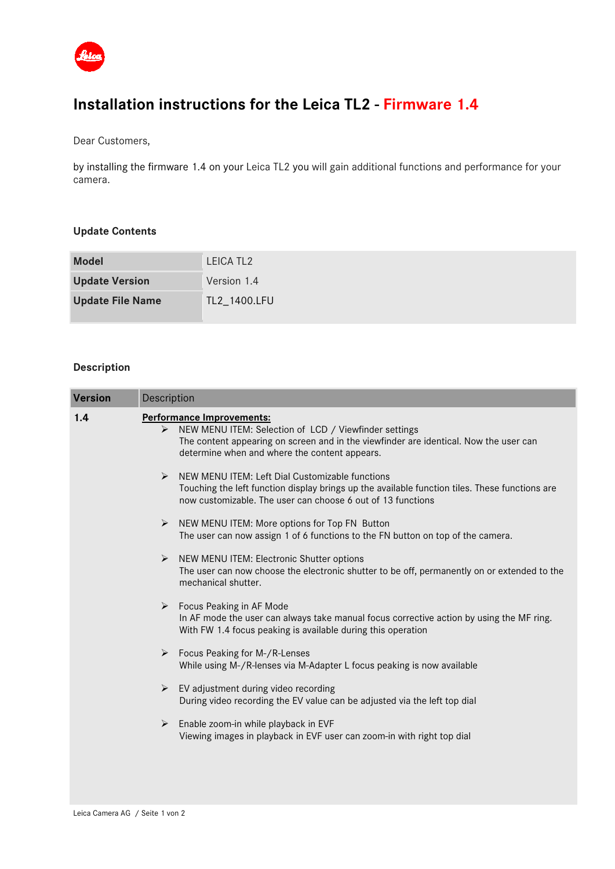

# **Installation instructions for the Leica TL2 - Firmware 1.4**

Dear Customers,

by installing the firmware 1.4 on your Leica TL2 you will gain additional functions and performance for your camera.

## **Update Contents**

| <b>Model</b>            | LEICA TL <sub>2</sub> |
|-------------------------|-----------------------|
| <b>Update Version</b>   | Version 1.4           |
| <b>Update File Name</b> | TL2_1400.LFU          |

## **Description**

| <b>Version</b> | Description                                                                                                                                                                                                                                             |
|----------------|---------------------------------------------------------------------------------------------------------------------------------------------------------------------------------------------------------------------------------------------------------|
| 1.4            | <b>Performance Improvements:</b><br>NEW MENU ITEM: Selection of LCD / Viewfinder settings<br>$\triangleright$<br>The content appearing on screen and in the viewfinder are identical. Now the user can<br>determine when and where the content appears. |
|                | NEW MENU ITEM: Left Dial Customizable functions<br>➤<br>Touching the left function display brings up the available function tiles. These functions are<br>now customizable. The user can choose 6 out of 13 functions                                   |
|                | NEW MENU ITEM: More options for Top FN Button<br>➤<br>The user can now assign 1 of 6 functions to the FN button on top of the camera.                                                                                                                   |
|                | NEW MENU ITEM: Electronic Shutter options<br>➤<br>The user can now choose the electronic shutter to be off, permanently on or extended to the<br>mechanical shutter.                                                                                    |
|                | $\blacktriangleright$<br>Focus Peaking in AF Mode<br>In AF mode the user can always take manual focus corrective action by using the MF ring.<br>With FW 1.4 focus peaking is available during this operation                                           |
|                | Focus Peaking for M-/R-Lenses<br>➤<br>While using M-/R-lenses via M-Adapter L focus peaking is now available                                                                                                                                            |
|                | EV adjustment during video recording<br>➤<br>During video recording the EV value can be adjusted via the left top dial                                                                                                                                  |
|                | Enable zoom-in while playback in EVF<br>➤<br>Viewing images in playback in EVF user can zoom-in with right top dial                                                                                                                                     |
|                |                                                                                                                                                                                                                                                         |